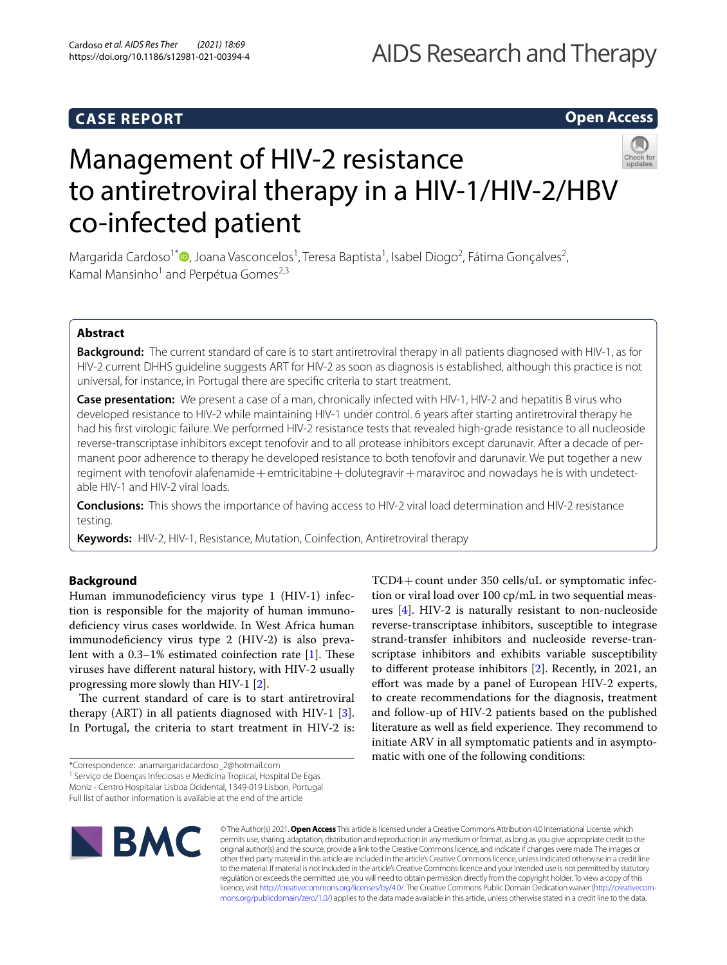# **Open Access**



# Management of HIV-2 resistance to antiretroviral therapy in a HIV-1/HIV-2/HBV co-infected patient

Margarida Cardoso<sup>1\*</sup><sup>®</sup>[,](http://orcid.org/0000-0002-9478-076X) Joana Vasconcelos<sup>1</sup>, Teresa Baptista<sup>1</sup>, Isabel Diogo<sup>2</sup>, Fátima Gonçalves<sup>2</sup>, Kamal Mansinho<sup>1</sup> and Perpétua Gomes<sup>2,3</sup>

# **Abstract**

**Background:** The current standard of care is to start antiretroviral therapy in all patients diagnosed with HIV-1, as for HIV-2 current DHHS guideline suggests ART for HIV-2 as soon as diagnosis is established, although this practice is not universal, for instance, in Portugal there are specifc criteria to start treatment.

**Case presentation:** We present a case of a man, chronically infected with HIV-1, HIV-2 and hepatitis B virus who developed resistance to HIV-2 while maintaining HIV-1 under control. 6 years after starting antiretroviral therapy he had his frst virologic failure. We performed HIV-2 resistance tests that revealed high-grade resistance to all nucleoside reverse-transcriptase inhibitors except tenofovir and to all protease inhibitors except darunavir. After a decade of permanent poor adherence to therapy he developed resistance to both tenofovir and darunavir. We put together a new regiment with tenofovir alafenamide + emtricitabine + dolutegravir + maraviroc and nowadays he is with undetectable HIV-1 and HIV-2 viral loads.

**Conclusions:** This shows the importance of having access to HIV-2 viral load determination and HIV-2 resistance testing.

**Keywords:** HIV-2, HIV-1, Resistance, Mutation, Coinfection, Antiretroviral therapy

# **Background**

Human immunodefciency virus type 1 (HIV-1) infection is responsible for the majority of human immunodefciency virus cases worldwide. In West Africa human immunodefciency virus type 2 (HIV-2) is also prevalent with a  $0.3-1%$  estimated coinfection rate [\[1\]](#page-2-0). These viruses have diferent natural history, with HIV-2 usually progressing more slowly than HIV-1 [\[2](#page-2-1)].

The current standard of care is to start antiretroviral therapy (ART) in all patients diagnosed with HIV-1  $[3]$  $[3]$ . In Portugal, the criteria to start treatment in HIV-2 is:

<sup>1</sup> Serviço de Doenças Infeciosas e Medicina Tropical, Hospital De Egas Moniz - Centro Hospitalar Lisboa Ocidental, 1349-019 Lisbon, Portugal Full list of author information is available at the end of the article



TCD4+count under 350 cells/uL or symptomatic infection or viral load over 100 cp/mL in two sequential measures [\[4](#page-3-0)]. HIV-2 is naturally resistant to non-nucleoside reverse-transcriptase inhibitors, susceptible to integrase strand-transfer inhibitors and nucleoside reverse-transcriptase inhibitors and exhibits variable susceptibility to diferent protease inhibitors [[2](#page-2-1)]. Recently, in 2021, an effort was made by a panel of European HIV-2 experts, to create recommendations for the diagnosis, treatment and follow-up of HIV-2 patients based on the published literature as well as field experience. They recommend to initiate ARV in all symptomatic patients and in asymptomatic with one of the following conditions:

© The Author(s) 2021. **Open Access** This article is licensed under a Creative Commons Attribution 4.0 International License, which permits use, sharing, adaptation, distribution and reproduction in any medium or format, as long as you give appropriate credit to the original author(s) and the source, provide a link to the Creative Commons licence, and indicate if changes were made. The images or other third party material in this article are included in the article's Creative Commons licence, unless indicated otherwise in a credit line to the material. If material is not included in the article's Creative Commons licence and your intended use is not permitted by statutory regulation or exceeds the permitted use, you will need to obtain permission directly from the copyright holder. To view a copy of this licence, visit [http://creativecommons.org/licenses/by/4.0/.](http://creativecommons.org/licenses/by/4.0/) The Creative Commons Public Domain Dedication waiver ([http://creativecom](http://creativecommons.org/publicdomain/zero/1.0/)[mons.org/publicdomain/zero/1.0/\)](http://creativecommons.org/publicdomain/zero/1.0/) applies to the data made available in this article, unless otherwise stated in a credit line to the data.

<sup>\*</sup>Correspondence: anamargaridacardoso\_2@hotmail.com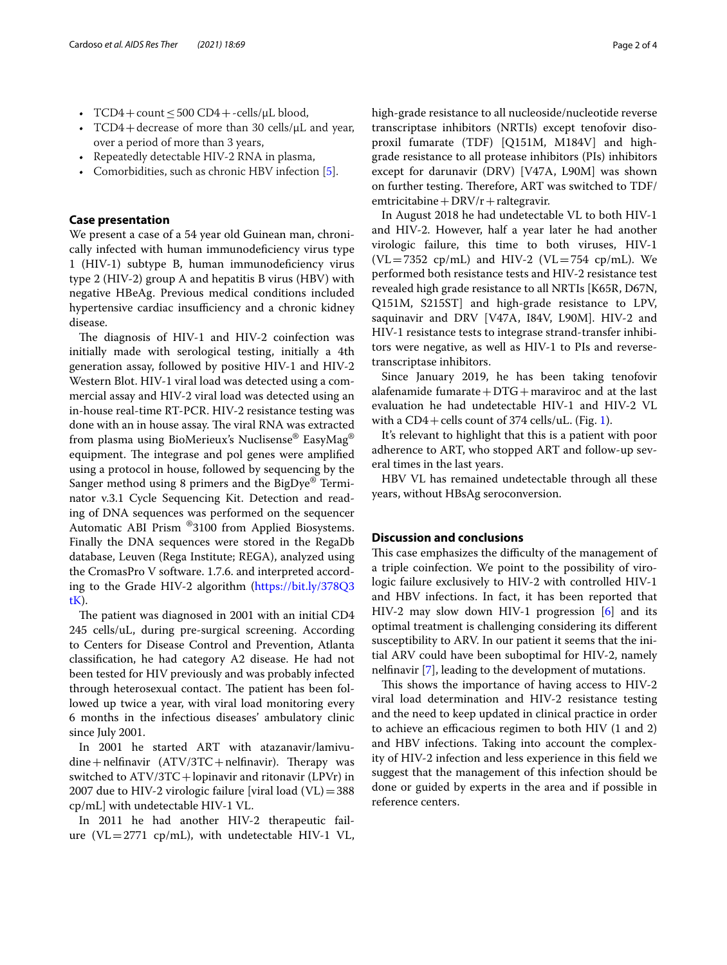- TCD4 + count  $\leq$  500 CD4 + -cells/ $\mu$ L blood,
- TCD4 + decrease of more than 30 cells/ $\mu$ L and year, over a period of more than 3 years,
- Repeatedly detectable HIV-2 RNA in plasma,
- Comorbidities, such as chronic HBV infection [\[5](#page-3-1)].

# **Case presentation**

We present a case of a 54 year old Guinean man, chronically infected with human immunodefciency virus type 1 (HIV-1) subtype B, human immunodefciency virus type 2 (HIV-2) group A and hepatitis B virus (HBV) with negative HBeAg. Previous medical conditions included hypertensive cardiac insufficiency and a chronic kidney disease.

The diagnosis of HIV-1 and HIV-2 coinfection was initially made with serological testing, initially a 4th generation assay, followed by positive HIV-1 and HIV-2 Western Blot. HIV-1 viral load was detected using a commercial assay and HIV-2 viral load was detected using an in-house real-time RT-PCR. HIV-2 resistance testing was done with an in house assay. The viral RNA was extracted from plasma using BioMerieux's Nuclisense® EasyMag® equipment. The integrase and pol genes were amplified using a protocol in house, followed by sequencing by the Sanger method using 8 primers and the BigDye® Terminator v.3.1 Cycle Sequencing Kit. Detection and reading of DNA sequences was performed on the sequencer Automatic ABI Prism ®3100 from Applied Biosystems. Finally the DNA sequences were stored in the RegaDb database, Leuven (Rega Institute; REGA), analyzed using the CromasPro V software. 1.7.6. and interpreted according to the Grade HIV-2 algorithm ([https://bit.ly/378Q3](https://bit.ly/378Q3tK) [tK\)](https://bit.ly/378Q3tK).

The patient was diagnosed in 2001 with an initial CD4 245 cells/uL, during pre-surgical screening. According to Centers for Disease Control and Prevention, Atlanta classifcation, he had category A2 disease. He had not been tested for HIV previously and was probably infected through heterosexual contact. The patient has been followed up twice a year, with viral load monitoring every 6 months in the infectious diseases' ambulatory clinic since July 2001.

In 2001 he started ART with atazanavir/lamivu $dine + \text{nelfin }$ avir  $(ATV/3TC + \text{nelfin }$ avir). Therapy was switched to ATV/3TC+lopinavir and ritonavir (LPVr) in 2007 due to HIV-2 virologic failure [viral load  $(VL) = 388$ cp/mL] with undetectable HIV-1 VL.

In 2011 he had another HIV-2 therapeutic failure (VL=2771  $cp/mL$ ), with undetectable HIV-1 VL, high-grade resistance to all nucleoside/nucleotide reverse transcriptase inhibitors (NRTIs) except tenofovir disoproxil fumarate (TDF) [Q151M, M184V] and highgrade resistance to all protease inhibitors (PIs) inhibitors except for darunavir (DRV) [V47A, L90M] was shown on further testing. Therefore, ART was switched to TDF/ emtricitabine +  $DRV/r$  + raltegravir.

In August 2018 he had undetectable VL to both HIV-1 and HIV-2. However, half a year later he had another virologic failure, this time to both viruses, HIV-1  $(VL=7352$  cp/mL) and HIV-2  $(VL=754$  cp/mL). We performed both resistance tests and HIV-2 resistance test revealed high grade resistance to all NRTIs [K65R, D67N, Q151M, S215ST] and high-grade resistance to LPV, saquinavir and DRV [V47A, I84V, L90M]. HIV-2 and HIV-1 resistance tests to integrase strand-transfer inhibitors were negative, as well as HIV-1 to PIs and reversetranscriptase inhibitors.

Since January 2019, he has been taking tenofovir alafenamide fumarate  $+DTG+m$ araviroc and at the last evaluation he had undetectable HIV-1 and HIV-2 VL with a  $CD4 +$  cells count of 374 cells/uL. (Fig. [1\)](#page-2-3).

It's relevant to highlight that this is a patient with poor adherence to ART, who stopped ART and follow-up several times in the last years.

HBV VL has remained undetectable through all these years, without HBsAg seroconversion.

# **Discussion and conclusions**

This case emphasizes the difficulty of the management of a triple coinfection. We point to the possibility of virologic failure exclusively to HIV-2 with controlled HIV-1 and HBV infections. In fact, it has been reported that HIV-2 may slow down HIV-1 progression [[6\]](#page-3-2) and its optimal treatment is challenging considering its diferent susceptibility to ARV. In our patient it seems that the initial ARV could have been suboptimal for HIV-2, namely nelfnavir [[7\]](#page-3-3), leading to the development of mutations.

This shows the importance of having access to HIV-2 viral load determination and HIV-2 resistance testing and the need to keep updated in clinical practice in order to achieve an efficacious regimen to both HIV (1 and 2) and HBV infections. Taking into account the complexity of HIV-2 infection and less experience in this feld we suggest that the management of this infection should be done or guided by experts in the area and if possible in reference centers.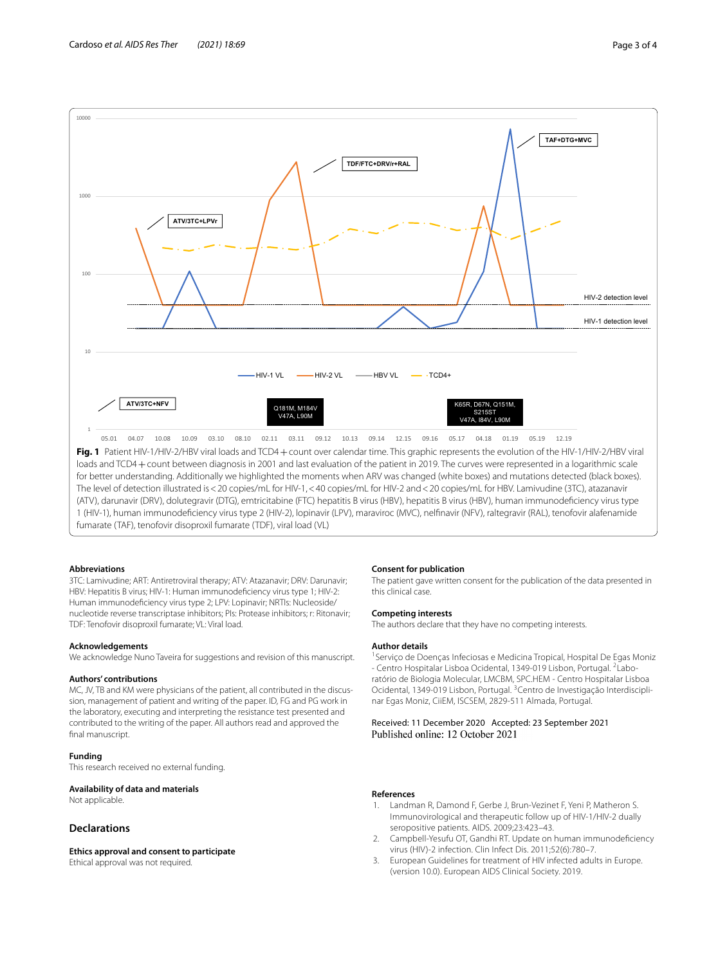

<span id="page-2-3"></span>The level of detection illustrated is<20 copies/mL for HIV-1,<40 copies/mL for HIV-2 and<20 copies/mL for HBV. Lamivudine (3TC), atazanavir (ATV), darunavir (DRV), dolutegravir (DTG), emtricitabine (FTC) hepatitis B virus (HBV), hepatitis B virus (HBV), human immunodefciency virus type 1 (HIV-1), human immunodefciency virus type 2 (HIV-2), lopinavir (LPV), maraviroc (MVC), nelfnavir (NFV), raltegravir (RAL), tenofovir alafenamide fumarate (TAF), tenofovir disoproxil fumarate (TDF), viral load (VL)

# **Abbreviations**

3TC: Lamivudine; ART: Antiretroviral therapy; ATV: Atazanavir; DRV: Darunavir; HBV: Hepatitis B virus; HIV-1: Human immunodefciency virus type 1; HIV-2: Human immunodefciency virus type 2; LPV: Lopinavir; NRTIs: Nucleoside/ nucleotide reverse transcriptase inhibitors; PIs: Protease inhibitors; r: Ritonavir; TDF: Tenofovir disoproxil fumarate; VL: Viral load.

#### **Acknowledgements**

We acknowledge Nuno Taveira for suggestions and revision of this manuscript.

#### **Authors' contributions**

MC, JV, TB and KM were physicians of the patient, all contributed in the discussion, management of patient and writing of the paper. ID, FG and PG work in the laboratory, executing and interpreting the resistance test presented and contributed to the writing of the paper. All authors read and approved the final manuscript.

# **Funding**

This research received no external funding.

#### **Availability of data and materials**

Not applicable.

# **Declarations**

#### **Ethics approval and consent to participate**

Ethical approval was not required.

#### **Consent for publication**

The patient gave written consent for the publication of the data presented in this clinical case.

#### **Competing interests**

The authors declare that they have no competing interests.

# **Author details**

<sup>1</sup> Serviço de Doenças Infeciosas e Medicina Tropical, Hospital De Egas Moniz - Centro Hospitalar Lisboa Ocidental, 1349-019 Lisbon, Portugal. <sup>2</sup>Laboratório de Biologia Molecular, LMCBM, SPC.HEM - Centro Hospitalar Lisboa Ocidental, 1349-019 Lisbon, Portugal. 3Centro de Investigação Interdisciplinar Egas Moniz, CiiEM, ISCSEM, 2829-511 Almada, Portugal.

# Received: 11 December 2020 Accepted: 23 September 2021

### **References**

- <span id="page-2-0"></span>1. Landman R, Damond F, Gerbe J, Brun-Vezinet F, Yeni P, Matheron S. Immunovirological and therapeutic follow up of HIV-1/HIV-2 dually seropositive patients. AIDS. 2009;23:423–43.
- <span id="page-2-1"></span>2. Campbell-Yesufu OT, Gandhi RT. Update on human immunodefciency virus (HIV)-2 infection. Clin Infect Dis. 2011;52(6):780–7.
- <span id="page-2-2"></span>3. European Guidelines for treatment of HIV infected adults in Europe. (version 10.0). European AIDS Clinical Society. 2019.